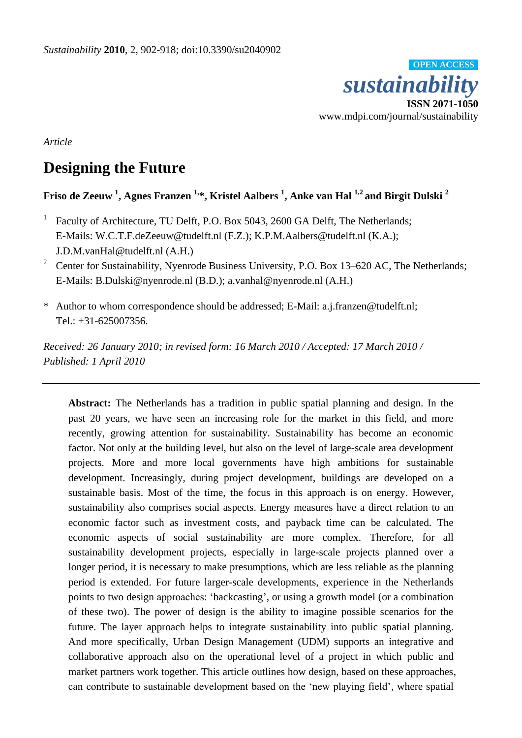

*Article* 

# **Designing the Future**

# **Friso de Zeeuw <sup>1</sup> , Agnes Franzen 1,\*, Kristel Aalbers <sup>1</sup> , Anke van Hal 1,2 and Birgit Dulski <sup>2</sup>**

- 1 Faculty of Architecture, TU Delft, P.O. Box 5043, 2600 GA Delft, The Netherlands; E-Mails: [W.C.T.F.deZeeuw@tudelft.nl](mailto:W.C.T.F.deZeeuw@tudelft.nl) (F.Z.); K.P.M.Aalbers@tudelft.nl (K.A.); [J.D.M.vanHal@tudelft.nl](mailto:J.D.M.vanHal@tudelft.nl) (A.H.)
- <sup>2</sup> Center for Sustainability, Nyenrode Business University, P.O. Box 13–620 AC, The Netherlands; E-Mails: [B.Dulski@nyenrode.nl](mailto:B.Dulski@nyenrode.nl) (B.D.); [a.vanhal@nyenrode.nl](mailto:a.vanhal@nyenrode.nl) (A.H.)
- \* Author to whom correspondence should be addressed; E-Mail: [a.j.franzen@tudelft.nl;](mailto:a.j.franzen@tudelft.nl) Tel.: +31-625007356.

*Received: 26 January 2010; in revised form: 16 March 2010 / Accepted: 17 March 2010 / Published: 1 April 2010*

**Abstract:** The Netherlands has a tradition in public spatial planning and design. In the past 20 years, we have seen an increasing role for the market in this field, and more recently, growing attention for sustainability. Sustainability has become an economic factor. Not only at the building level, but also on the level of large-scale area development projects. More and more local governments have high ambitions for sustainable development. Increasingly, during project development, buildings are developed on a sustainable basis. Most of the time, the focus in this approach is on energy. However, sustainability also comprises social aspects. Energy measures have a direct relation to an economic factor such as investment costs, and payback time can be calculated. The economic aspects of social sustainability are more complex. Therefore, for all sustainability development projects, especially in large-scale projects planned over a longer period, it is necessary to make presumptions, which are less reliable as the planning period is extended. For future larger-scale developments, experience in the Netherlands points to two design approaches: 'backcasting', or using a growth model (or a combination of these two). The power of design is the ability to imagine possible scenarios for the future. The layer approach helps to integrate sustainability into public spatial planning. And more specifically, Urban Design Management (UDM) supports an integrative and collaborative approach also on the operational level of a project in which public and market partners work together. This article outlines how design, based on these approaches, can contribute to sustainable development based on the 'new playing field', where spatial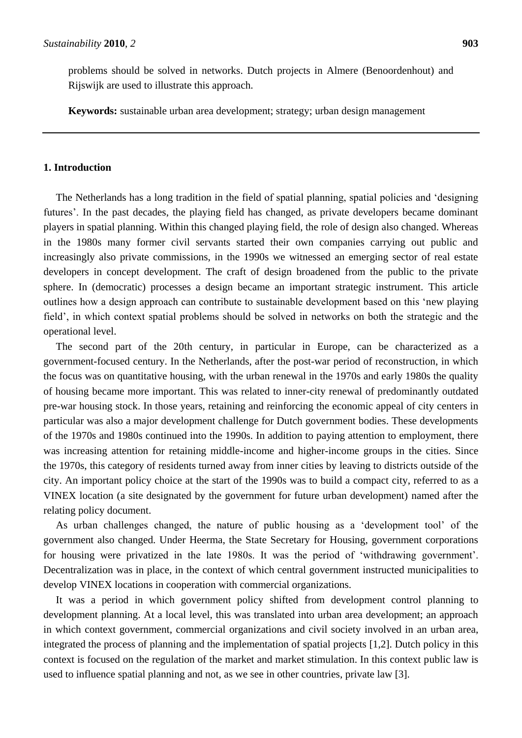problems should be solved in networks. Dutch projects in Almere (Benoordenhout) and Rijswijk are used to illustrate this approach.

**Keywords:** sustainable urban area development; strategy; urban design management

#### **1. Introduction**

The Netherlands has a long tradition in the field of spatial planning, spatial policies and 'designing futures'. In the past decades, the playing field has changed, as private developers became dominant players in spatial planning. Within this changed playing field, the role of design also changed. Whereas in the 1980s many former civil servants started their own companies carrying out public and increasingly also private commissions, in the 1990s we witnessed an emerging sector of real estate developers in concept development. The craft of design broadened from the public to the private sphere. In (democratic) processes a design became an important strategic instrument. This article outlines how a design approach can contribute to sustainable development based on this 'new playing field', in which context spatial problems should be solved in networks on both the strategic and the operational level.

The second part of the 20th century, in particular in Europe, can be characterized as a government-focused century. In the Netherlands, after the post-war period of reconstruction, in which the focus was on quantitative housing, with the urban renewal in the 1970s and early 1980s the quality of housing became more important. This was related to inner-city renewal of predominantly outdated pre-war housing stock. In those years, retaining and reinforcing the economic appeal of city centers in particular was also a major development challenge for Dutch government bodies. These developments of the 1970s and 1980s continued into the 1990s. In addition to paying attention to employment, there was increasing attention for retaining middle-income and higher-income groups in the cities. Since the 1970s, this category of residents turned away from inner cities by leaving to districts outside of the city. An important policy choice at the start of the 1990s was to build a compact city, referred to as a VINEX location (a site designated by the government for future urban development) named after the relating policy document.

As urban challenges changed, the nature of public housing as a 'development tool' of the government also changed. Under Heerma, the State Secretary for Housing, government corporations for housing were privatized in the late 1980s. It was the period of 'withdrawing government'. Decentralization was in place, in the context of which central government instructed municipalities to develop VINEX locations in cooperation with commercial organizations.

It was a period in which government policy shifted from development control planning to development planning. At a local level, this was translated into urban area development; an approach in which context government, commercial organizations and civil society involved in an urban area, integrated the process of planning and the implementation of spatial projects [1,2]. Dutch policy in this context is focused on the regulation of the market and market stimulation. In this context public law is used to influence spatial planning and not, as we see in other countries, private law [3].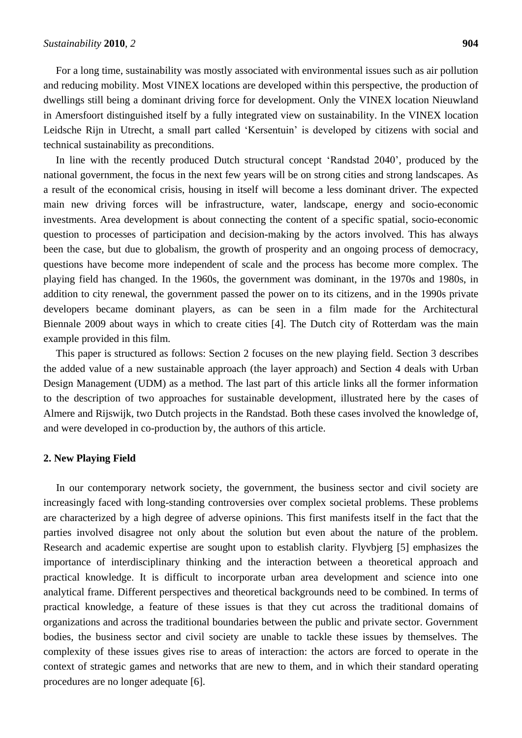For a long time, sustainability was mostly associated with environmental issues such as air pollution and reducing mobility. Most VINEX locations are developed within this perspective, the production of dwellings still being a dominant driving force for development. Only the VINEX location Nieuwland in Amersfoort distinguished itself by a fully integrated view on sustainability. In the VINEX location Leidsche Rijn in Utrecht, a small part called 'Kersentuin' is developed by citizens with social and technical sustainability as preconditions.

In line with the recently produced Dutch structural concept 'Randstad 2040', produced by the national government, the focus in the next few years will be on strong cities and strong landscapes. As a result of the economical crisis, housing in itself will become a less dominant driver. The expected main new driving forces will be infrastructure, water, landscape, energy and socio-economic investments. Area development is about connecting the content of a specific spatial, socio-economic question to processes of participation and decision-making by the actors involved. This has always been the case, but due to globalism, the growth of prosperity and an ongoing process of democracy, questions have become more independent of scale and the process has become more complex. The playing field has changed. In the 1960s, the government was dominant, in the 1970s and 1980s, in addition to city renewal, the government passed the power on to its citizens, and in the 1990s private developers became dominant players, as can be seen in a film made for the Architectural Biennale 2009 about ways in which to create cities [4]. The Dutch city of Rotterdam was the main example provided in this film.

This paper is structured as follows: Section 2 focuses on the new playing field. Section 3 describes the added value of a new sustainable approach (the layer approach) and Section 4 deals with Urban Design Management (UDM) as a method. The last part of this article links all the former information to the description of two approaches for sustainable development, illustrated here by the cases of Almere and Rijswijk, two Dutch projects in the Randstad. Both these cases involved the knowledge of, and were developed in co-production by, the authors of this article.

#### **2. New Playing Field**

In our contemporary network society, the government, the business sector and civil society are increasingly faced with long-standing controversies over complex societal problems. These problems are characterized by a high degree of adverse opinions. This first manifests itself in the fact that the parties involved disagree not only about the solution but even about the nature of the problem. Research and academic expertise are sought upon to establish clarity. Flyvbjerg [5] emphasizes the importance of interdisciplinary thinking and the interaction between a theoretical approach and practical knowledge. It is difficult to incorporate urban area development and science into one analytical frame. Different perspectives and theoretical backgrounds need to be combined. In terms of practical knowledge, a feature of these issues is that they cut across the traditional domains of organizations and across the traditional boundaries between the public and private sector. Government bodies, the business sector and civil society are unable to tackle these issues by themselves. The complexity of these issues gives rise to areas of interaction: the actors are forced to operate in the context of strategic games and networks that are new to them, and in which their standard operating procedures are no longer adequate [6].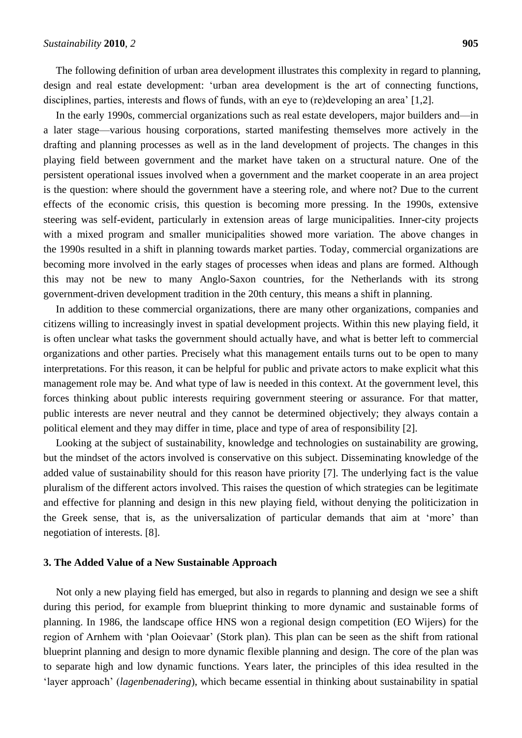The following definition of urban area development illustrates this complexity in regard to planning, design and real estate development: 'urban area development is the art of connecting functions, disciplines, parties, interests and flows of funds, with an eye to (re)developing an area' [1,2].

In the early 1990s, commercial organizations such as real estate developers, major builders and—in a later stage—various housing corporations, started manifesting themselves more actively in the drafting and planning processes as well as in the land development of projects. The changes in this playing field between government and the market have taken on a structural nature. One of the persistent operational issues involved when a government and the market cooperate in an area project is the question: where should the government have a steering role, and where not? Due to the current effects of the economic crisis, this question is becoming more pressing. In the 1990s, extensive steering was self-evident, particularly in extension areas of large municipalities. Inner-city projects with a mixed program and smaller municipalities showed more variation. The above changes in the 1990s resulted in a shift in planning towards market parties. Today, commercial organizations are becoming more involved in the early stages of processes when ideas and plans are formed. Although this may not be new to many Anglo-Saxon countries, for the Netherlands with its strong government-driven development tradition in the 20th century, this means a shift in planning.

In addition to these commercial organizations, there are many other organizations, companies and citizens willing to increasingly invest in spatial development projects. Within this new playing field, it is often unclear what tasks the government should actually have, and what is better left to commercial organizations and other parties. Precisely what this management entails turns out to be open to many interpretations. For this reason, it can be helpful for public and private actors to make explicit what this management role may be. And what type of law is needed in this context. At the government level, this forces thinking about public interests requiring government steering or assurance. For that matter, public interests are never neutral and they cannot be determined objectively; they always contain a political element and they may differ in time, place and type of area of responsibility [2].

Looking at the subject of sustainability, knowledge and technologies on sustainability are growing, but the mindset of the actors involved is conservative on this subject. Disseminating knowledge of the added value of sustainability should for this reason have priority [7]. The underlying fact is the value pluralism of the different actors involved. This raises the question of which strategies can be legitimate and effective for planning and design in this new playing field, without denying the politicization in the Greek sense, that is, as the universalization of particular demands that aim at 'more' than negotiation of interests. [8].

#### **3. The Added Value of a New Sustainable Approach**

Not only a new playing field has emerged, but also in regards to planning and design we see a shift during this period, for example from blueprint thinking to more dynamic and sustainable forms of planning. In 1986, the landscape office HNS won a regional design competition (EO Wijers) for the region of Arnhem with 'plan Ooievaar' (Stork plan). This plan can be seen as the shift from rational blueprint planning and design to more dynamic flexible planning and design. The core of the plan was to separate high and low dynamic functions. Years later, the principles of this idea resulted in the 'layer approach' (*lagenbenadering*), which became essential in thinking about sustainability in spatial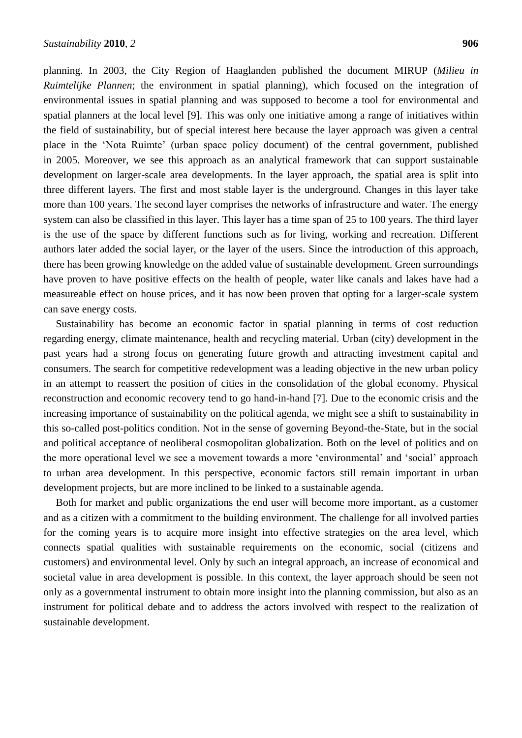planning. In 2003, the City Region of Haaglanden published the document MIRUP (*Milieu in Ruimtelijke Plannen*; the environment in spatial planning)*,* which focused on the integration of environmental issues in spatial planning and was supposed to become a tool for environmental and spatial planners at the local level [9]. This was only one initiative among a range of initiatives within the field of sustainability, but of special interest here because the layer approach was given a central place in the 'Nota Ruimte' (urban space policy document) of the central government, published in 2005. Moreover, we see this approach as an analytical framework that can support sustainable development on larger-scale area developments. In the layer approach, the spatial area is split into three different layers. The first and most stable layer is the underground. Changes in this layer take more than 100 years. The second layer comprises the networks of infrastructure and water. The energy system can also be classified in this layer. This layer has a time span of 25 to 100 years. The third layer is the use of the space by different functions such as for living, working and recreation. Different authors later added the social layer, or the layer of the users. Since the introduction of this approach, there has been growing knowledge on the added value of sustainable development. Green surroundings have proven to have positive effects on the health of people, water like canals and lakes have had a measureable effect on house prices, and it has now been proven that opting for a larger-scale system can save energy costs.

Sustainability has become an economic factor in spatial planning in terms of cost reduction regarding energy, climate maintenance, health and recycling material. Urban (city) development in the past years had a strong focus on generating future growth and attracting investment capital and consumers. The search for competitive redevelopment was a leading objective in the new urban policy in an attempt to reassert the position of cities in the consolidation of the global economy. Physical reconstruction and economic recovery tend to go hand-in-hand [7]. Due to the economic crisis and the increasing importance of sustainability on the political agenda, we might see a shift to sustainability in this so-called post-politics condition. Not in the sense of governing Beyond-the-State, but in the social and political acceptance of neoliberal cosmopolitan globalization. Both on the level of politics and on the more operational level we see a movement towards a more 'environmental' and 'social' approach to urban area development. In this perspective, economic factors still remain important in urban development projects, but are more inclined to be linked to a sustainable agenda.

Both for market and public organizations the end user will become more important, as a customer and as a citizen with a commitment to the building environment. The challenge for all involved parties for the coming years is to acquire more insight into effective strategies on the area level, which connects spatial qualities with sustainable requirements on the economic, social (citizens and customers) and environmental level. Only by such an integral approach, an increase of economical and societal value in area development is possible. In this context, the layer approach should be seen not only as a governmental instrument to obtain more insight into the planning commission, but also as an instrument for political debate and to address the actors involved with respect to the realization of sustainable development.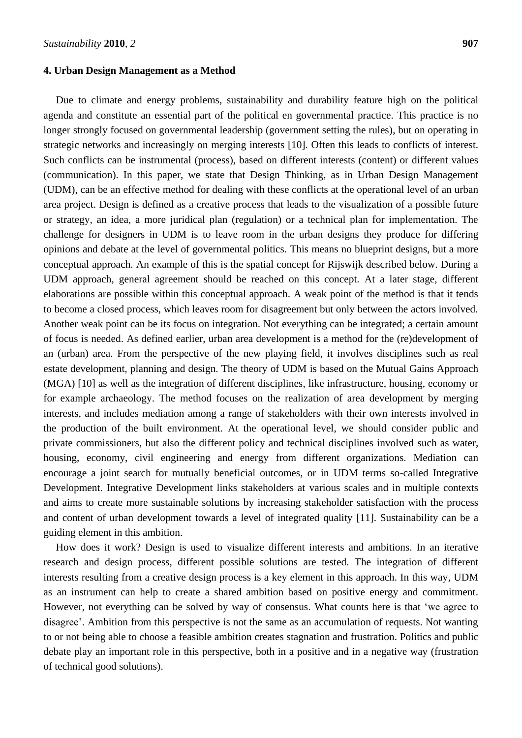#### **4. Urban Design Management as a Method**

Due to climate and energy problems, sustainability and durability feature high on the political agenda and constitute an essential part of the political en governmental practice. This practice is no longer strongly focused on governmental leadership (government setting the rules), but on operating in strategic networks and increasingly on merging interests [10]. Often this leads to conflicts of interest. Such conflicts can be instrumental (process), based on different interests (content) or different values (communication). In this paper, we state that Design Thinking, as in Urban Design Management (UDM), can be an effective method for dealing with these conflicts at the operational level of an urban area project. Design is defined as a creative process that leads to the visualization of a possible future or strategy, an idea, a more juridical plan (regulation) or a technical plan for implementation. The challenge for designers in UDM is to leave room in the urban designs they produce for differing opinions and debate at the level of governmental politics. This means no blueprint designs, but a more conceptual approach. An example of this is the spatial concept for Rijswijk described below. During a UDM approach, general agreement should be reached on this concept. At a later stage, different elaborations are possible within this conceptual approach. A weak point of the method is that it tends to become a closed process, which leaves room for disagreement but only between the actors involved. Another weak point can be its focus on integration. Not everything can be integrated; a certain amount of focus is needed. As defined earlier, urban area development is a method for the (re)development of an (urban) area. From the perspective of the new playing field, it involves disciplines such as real estate development, planning and design. The theory of UDM is based on the Mutual Gains Approach (MGA) [10] as well as the integration of different disciplines, like infrastructure, housing, economy or for example archaeology. The method focuses on the realization of area development by merging interests, and includes mediation among a range of stakeholders with their own interests involved in the production of the built environment. At the operational level, we should consider public and private commissioners, but also the different policy and technical disciplines involved such as water, housing, economy, civil engineering and energy from different organizations. Mediation can encourage a joint search for mutually beneficial outcomes, or in UDM terms so-called Integrative Development. Integrative Development links stakeholders at various scales and in multiple contexts and aims to create more sustainable solutions by increasing stakeholder satisfaction with the process and content of urban development towards a level of integrated quality [11]. Sustainability can be a guiding element in this ambition.

How does it work? Design is used to visualize different interests and ambitions. In an iterative research and design process, different possible solutions are tested. The integration of different interests resulting from a creative design process is a key element in this approach. In this way, UDM as an instrument can help to create a shared ambition based on positive energy and commitment. However, not everything can be solved by way of consensus. What counts here is that 'we agree to disagree'. Ambition from this perspective is not the same as an accumulation of requests. Not wanting to or not being able to choose a feasible ambition creates stagnation and frustration. Politics and public debate play an important role in this perspective, both in a positive and in a negative way (frustration of technical good solutions).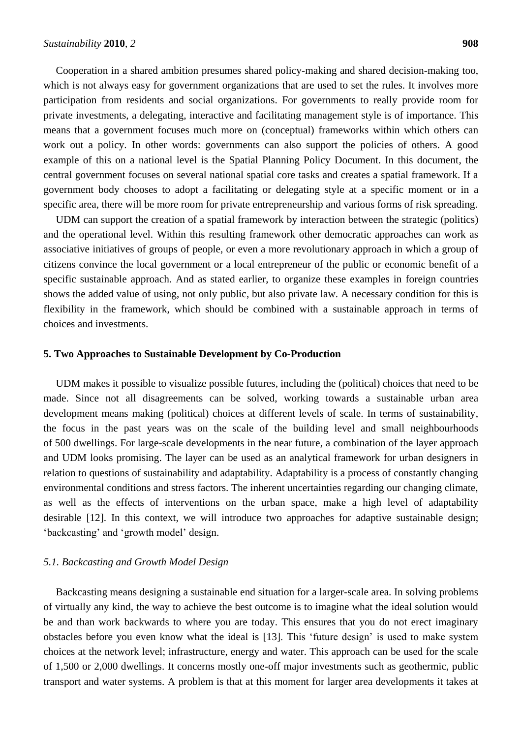Cooperation in a shared ambition presumes shared policy-making and shared decision-making too, which is not always easy for government organizations that are used to set the rules. It involves more participation from residents and social organizations. For governments to really provide room for private investments, a delegating, interactive and facilitating management style is of importance. This means that a government focuses much more on (conceptual) frameworks within which others can work out a policy. In other words: governments can also support the policies of others. A good example of this on a national level is the Spatial Planning Policy Document. In this document, the central government focuses on several national spatial core tasks and creates a spatial framework. If a government body chooses to adopt a facilitating or delegating style at a specific moment or in a specific area, there will be more room for private entrepreneurship and various forms of risk spreading.

UDM can support the creation of a spatial framework by interaction between the strategic (politics) and the operational level. Within this resulting framework other democratic approaches can work as associative initiatives of groups of people, or even a more revolutionary approach in which a group of citizens convince the local government or a local entrepreneur of the public or economic benefit of a specific sustainable approach. And as stated earlier, to organize these examples in foreign countries shows the added value of using, not only public, but also private law. A necessary condition for this is flexibility in the framework, which should be combined with a sustainable approach in terms of choices and investments.

#### **5. Two Approaches to Sustainable Development by Co-Production**

UDM makes it possible to visualize possible futures, including the (political) choices that need to be made. Since not all disagreements can be solved, working towards a sustainable urban area development means making (political) choices at different levels of scale. In terms of sustainability, the focus in the past years was on the scale of the building level and small neighbourhoods of 500 dwellings. For large-scale developments in the near future, a combination of the layer approach and UDM looks promising. The layer can be used as an analytical framework for urban designers in relation to questions of sustainability and adaptability. Adaptability is a process of constantly changing environmental conditions and stress factors. The inherent uncertainties regarding our changing climate, as well as the effects of interventions on the urban space, make a high level of adaptability desirable [12]. In this context, we will introduce two approaches for adaptive sustainable design; 'backcasting' and 'growth model' design.

#### *5.1. Backcasting and Growth Model Design*

Backcasting means designing a sustainable end situation for a larger-scale area. In solving problems of virtually any kind, the way to achieve the best outcome is to imagine what the ideal solution would be and than work backwards to where you are today. This ensures that you do not erect imaginary obstacles before you even know what the ideal is [13]. This 'future design' is used to make system choices at the network level; infrastructure, energy and water. This approach can be used for the scale of 1,500 or 2,000 dwellings. It concerns mostly one-off major investments such as geothermic, public transport and water systems. A problem is that at this moment for larger area developments it takes at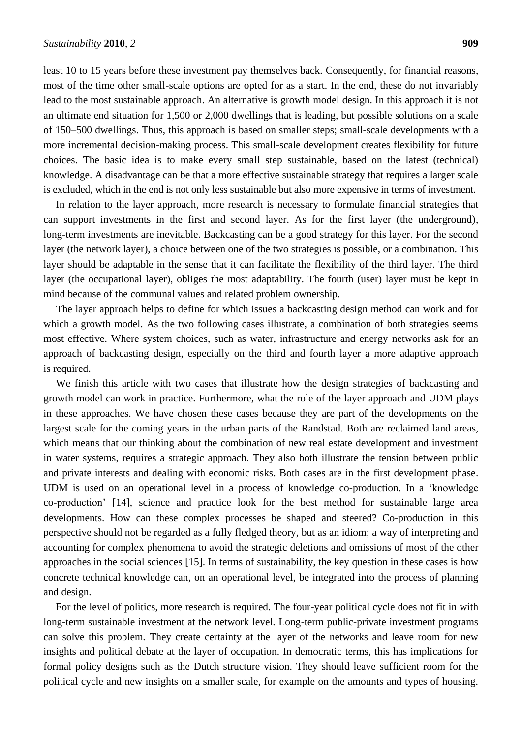least 10 to 15 years before these investment pay themselves back. Consequently, for financial reasons, most of the time other small-scale options are opted for as a start. In the end, these do not invariably lead to the most sustainable approach. An alternative is growth model design. In this approach it is not an ultimate end situation for 1,500 or 2,000 dwellings that is leading, but possible solutions on a scale of 150–500 dwellings. Thus, this approach is based on smaller steps; small-scale developments with a

more incremental decision-making process. This small-scale development creates flexibility for future choices. The basic idea is to make every small step sustainable, based on the latest (technical) knowledge. A disadvantage can be that a more effective sustainable strategy that requires a larger scale is excluded, which in the end is not only less sustainable but also more expensive in terms of investment.

In relation to the layer approach, more research is necessary to formulate financial strategies that can support investments in the first and second layer. As for the first layer (the underground), long-term investments are inevitable. Backcasting can be a good strategy for this layer. For the second layer (the network layer), a choice between one of the two strategies is possible, or a combination. This layer should be adaptable in the sense that it can facilitate the flexibility of the third layer. The third layer (the occupational layer), obliges the most adaptability. The fourth (user) layer must be kept in mind because of the communal values and related problem ownership.

The layer approach helps to define for which issues a backcasting design method can work and for which a growth model. As the two following cases illustrate, a combination of both strategies seems most effective. Where system choices, such as water, infrastructure and energy networks ask for an approach of backcasting design, especially on the third and fourth layer a more adaptive approach is required.

We finish this article with two cases that illustrate how the design strategies of backcasting and growth model can work in practice. Furthermore, what the role of the layer approach and UDM plays in these approaches. We have chosen these cases because they are part of the developments on the largest scale for the coming years in the urban parts of the Randstad. Both are reclaimed land areas, which means that our thinking about the combination of new real estate development and investment in water systems, requires a strategic approach. They also both illustrate the tension between public and private interests and dealing with economic risks. Both cases are in the first development phase. UDM is used on an operational level in a process of knowledge co-production. In a 'knowledge co-production' [14], science and practice look for the best method for sustainable large area developments. How can these complex processes be shaped and steered? Co-production in this perspective should not be regarded as a fully fledged theory, but as an idiom; a way of interpreting and accounting for complex phenomena to avoid the strategic deletions and omissions of most of the other approaches in the social sciences [15]. In terms of sustainability, the key question in these cases is how concrete technical knowledge can, on an operational level, be integrated into the process of planning and design.

For the level of politics, more research is required. The four-year political cycle does not fit in with long-term sustainable investment at the network level. Long-term public-private investment programs can solve this problem. They create certainty at the layer of the networks and leave room for new insights and political debate at the layer of occupation. In democratic terms, this has implications for formal policy designs such as the Dutch structure vision. They should leave sufficient room for the political cycle and new insights on a smaller scale, for example on the amounts and types of housing.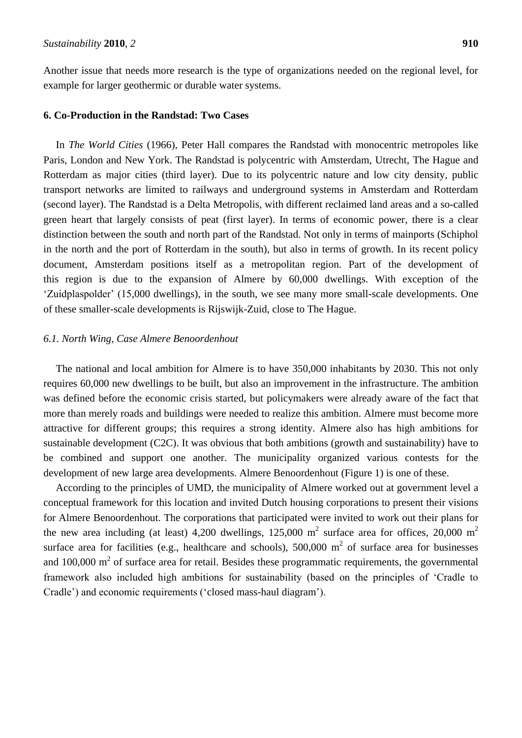Another issue that needs more research is the type of organizations needed on the regional level, for example for larger geothermic or durable water systems.

#### **6. Co-Production in the Randstad: Two Cases**

In *The World Cities* (1966), Peter Hall compares the Randstad with monocentric metropoles like Paris, London and New York. The Randstad is polycentric with Amsterdam, Utrecht, The Hague and Rotterdam as major cities (third layer). Due to its polycentric nature and low city density, public transport networks are limited to railways and underground systems in Amsterdam and Rotterdam (second layer). The Randstad is a Delta Metropolis, with different reclaimed land areas and a so-called green heart that largely consists of peat (first layer). In terms of economic power, there is a clear distinction between the south and north part of the Randstad. Not only in terms of mainports (Schiphol in the north and the port of Rotterdam in the south), but also in terms of growth. In its recent policy document, Amsterdam positions itself as a metropolitan region. Part of the development of this region is due to the expansion of Almere by 60,000 dwellings. With exception of the 'Zuidplaspolder' (15,000 dwellings), in the south, we see many more small-scale developments. One of these smaller-scale developments is Rijswijk-Zuid, close to The Hague.

#### *6.1. North Wing, Case Almere Benoordenhout*

The national and local ambition for Almere is to have 350,000 inhabitants by 2030. This not only requires 60,000 new dwellings to be built, but also an improvement in the infrastructure. The ambition was defined before the economic crisis started, but policymakers were already aware of the fact that more than merely roads and buildings were needed to realize this ambition. Almere must become more attractive for different groups; this requires a strong identity. Almere also has high ambitions for sustainable development (C2C). It was obvious that both ambitions (growth and sustainability) have to be combined and support one another. The municipality organized various contests for the development of new large area developments. Almere Benoordenhout (Figure 1) is one of these.

According to the principles of UMD, the municipality of Almere worked out at government level a conceptual framework for this location and invited Dutch housing corporations to present their visions for Almere Benoordenhout. The corporations that participated were invited to work out their plans for the new area including (at least) 4,200 dwellings, 125,000  $m^2$  surface area for offices, 20,000  $m^2$ surface area for facilities (e.g., healthcare and schools),  $500,000$  m<sup>2</sup> of surface area for businesses and  $100,000$  m<sup>2</sup> of surface area for retail. Besides these programmatic requirements, the governmental framework also included high ambitions for sustainability (based on the principles of 'Cradle to Cradle') and economic requirements ('closed mass-haul diagram').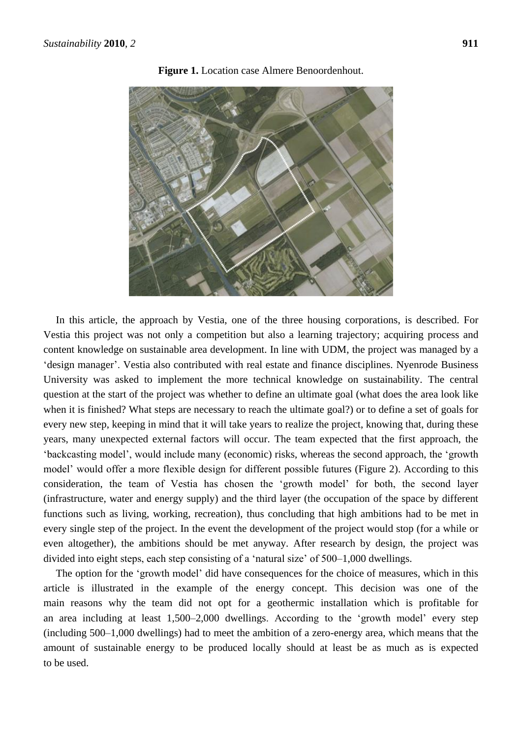

**Figure 1.** Location case Almere Benoordenhout.

In this article, the approach by Vestia, one of the three housing corporations, is described. For Vestia this project was not only a competition but also a learning trajectory; acquiring process and content knowledge on sustainable area development. In line with UDM, the project was managed by a 'design manager'. Vestia also contributed with real estate and finance disciplines. Nyenrode Business University was asked to implement the more technical knowledge on sustainability. The central question at the start of the project was whether to define an ultimate goal (what does the area look like when it is finished? What steps are necessary to reach the ultimate goal?) or to define a set of goals for every new step, keeping in mind that it will take years to realize the project, knowing that, during these years, many unexpected external factors will occur. The team expected that the first approach, the 'backcasting model', would include many (economic) risks, whereas the second approach, the 'growth model' would offer a more flexible design for different possible futures (Figure 2). According to this consideration, the team of Vestia has chosen the 'growth model' for both, the second layer (infrastructure, water and energy supply) and the third layer (the occupation of the space by different functions such as living, working, recreation), thus concluding that high ambitions had to be met in every single step of the project. In the event the development of the project would stop (for a while or even altogether), the ambitions should be met anyway. After research by design, the project was divided into eight steps, each step consisting of a 'natural size' of 500–1,000 dwellings.

The option for the 'growth model' did have consequences for the choice of measures, which in this article is illustrated in the example of the energy concept. This decision was one of the main reasons why the team did not opt for a geothermic installation which is profitable for an area including at least 1,500–2,000 dwellings. According to the 'growth model' every step (including 500–1,000 dwellings) had to meet the ambition of a zero-energy area, which means that the amount of sustainable energy to be produced locally should at least be as much as is expected to be used.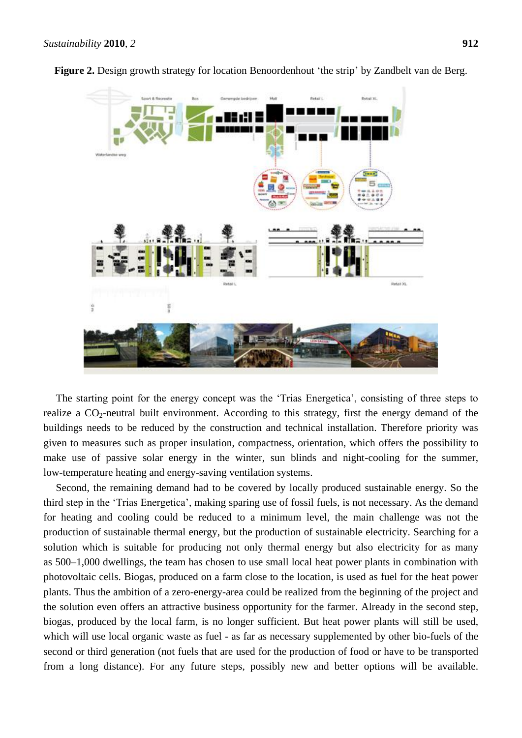

**Figure 2.** Design growth strategy for location Benoordenhout 'the strip' by Zandbelt van de Berg.

The starting point for the energy concept was the 'Trias Energetica', consisting of three steps to realize a  $CO_2$ -neutral built environment. According to this strategy, first the energy demand of the buildings needs to be reduced by the construction and technical installation. Therefore priority was given to measures such as proper insulation, compactness, orientation, which offers the possibility to make use of passive solar energy in the winter, sun blinds and night-cooling for the summer, low-temperature heating and energy-saving ventilation systems.

Second, the remaining demand had to be covered by locally produced sustainable energy. So the third step in the 'Trias Energetica', making sparing use of fossil fuels, is not necessary. As the demand for heating and cooling could be reduced to a minimum level, the main challenge was not the production of sustainable thermal energy, but the production of sustainable electricity. Searching for a solution which is suitable for producing not only thermal energy but also electricity for as many as 500–1,000 dwellings, the team has chosen to use small local heat power plants in combination with photovoltaic cells. Biogas, produced on a farm close to the location, is used as fuel for the heat power plants. Thus the ambition of a zero-energy-area could be realized from the beginning of the project and the solution even offers an attractive business opportunity for the farmer. Already in the second step, biogas, produced by the local farm, is no longer sufficient. But heat power plants will still be used, which will use local organic waste as fuel - as far as necessary supplemented by other bio-fuels of the second or third generation (not fuels that are used for the production of food or have to be transported from a long distance). For any future steps, possibly new and better options will be available.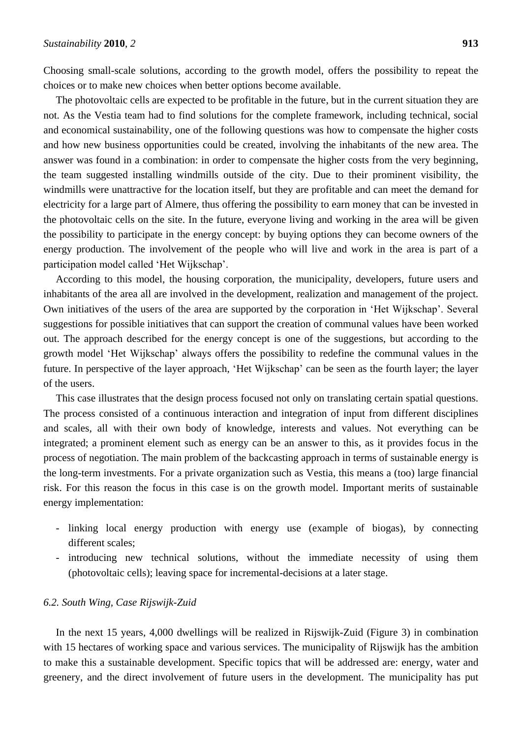Choosing small-scale solutions, according to the growth model, offers the possibility to repeat the choices or to make new choices when better options become available.

The photovoltaic cells are expected to be profitable in the future, but in the current situation they are not. As the Vestia team had to find solutions for the complete framework, including technical, social and economical sustainability, one of the following questions was how to compensate the higher costs and how new business opportunities could be created, involving the inhabitants of the new area. The answer was found in a combination: in order to compensate the higher costs from the very beginning, the team suggested installing windmills outside of the city. Due to their prominent visibility, the windmills were unattractive for the location itself, but they are profitable and can meet the demand for electricity for a large part of Almere, thus offering the possibility to earn money that can be invested in the photovoltaic cells on the site. In the future, everyone living and working in the area will be given the possibility to participate in the energy concept: by buying options they can become owners of the energy production. The involvement of the people who will live and work in the area is part of a participation model called 'Het Wijkschap'.

According to this model, the housing corporation, the municipality, developers, future users and inhabitants of the area all are involved in the development, realization and management of the project. Own initiatives of the users of the area are supported by the corporation in 'Het Wijkschap'. Several suggestions for possible initiatives that can support the creation of communal values have been worked out. The approach described for the energy concept is one of the suggestions, but according to the growth model 'Het Wijkschap' always offers the possibility to redefine the communal values in the future. In perspective of the layer approach, 'Het Wijkschap' can be seen as the fourth layer; the layer of the users.

This case illustrates that the design process focused not only on translating certain spatial questions. The process consisted of a continuous interaction and integration of input from different disciplines and scales, all with their own body of knowledge, interests and values. Not everything can be integrated; a prominent element such as energy can be an answer to this, as it provides focus in the process of negotiation. The main problem of the backcasting approach in terms of sustainable energy is the long-term investments. For a private organization such as Vestia, this means a (too) large financial risk. For this reason the focus in this case is on the growth model. Important merits of sustainable energy implementation:

- linking local energy production with energy use (example of biogas), by connecting different scales;
- introducing new technical solutions, without the immediate necessity of using them (photovoltaic cells); leaving space for incremental-decisions at a later stage.

#### *6.2. South Wing, Case Rijswijk-Zuid*

In the next 15 years, 4,000 dwellings will be realized in Rijswijk-Zuid (Figure 3) in combination with 15 hectares of working space and various services. The municipality of Rijswijk has the ambition to make this a sustainable development. Specific topics that will be addressed are: energy, water and greenery, and the direct involvement of future users in the development. The municipality has put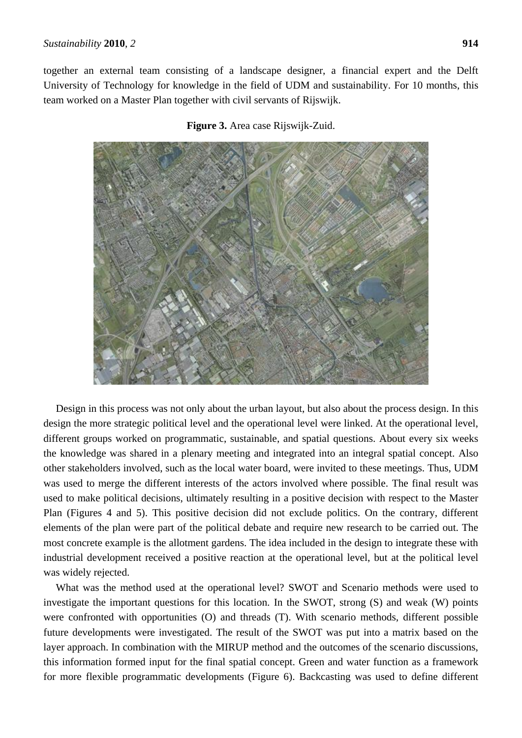together an external team consisting of a landscape designer, a financial expert and the Delft University of Technology for knowledge in the field of UDM and sustainability. For 10 months, this team worked on a Master Plan together with civil servants of Rijswijk.



**Figure 3.** Area case Rijswijk-Zuid.

Design in this process was not only about the urban layout, but also about the process design. In this design the more strategic political level and the operational level were linked. At the operational level, different groups worked on programmatic, sustainable, and spatial questions. About every six weeks the knowledge was shared in a plenary meeting and integrated into an integral spatial concept. Also other stakeholders involved, such as the local water board, were invited to these meetings. Thus, UDM was used to merge the different interests of the actors involved where possible. The final result was used to make political decisions, ultimately resulting in a positive decision with respect to the Master Plan (Figures 4 and 5). This positive decision did not exclude politics. On the contrary, different elements of the plan were part of the political debate and require new research to be carried out. The most concrete example is the allotment gardens. The idea included in the design to integrate these with industrial development received a positive reaction at the operational level, but at the political level was widely rejected.

What was the method used at the operational level? SWOT and Scenario methods were used to investigate the important questions for this location. In the SWOT, strong (S) and weak (W) points were confronted with opportunities (O) and threads (T). With scenario methods, different possible future developments were investigated. The result of the SWOT was put into a matrix based on the layer approach. In combination with the MIRUP method and the outcomes of the scenario discussions, this information formed input for the final spatial concept. Green and water function as a framework for more flexible programmatic developments (Figure 6). Backcasting was used to define different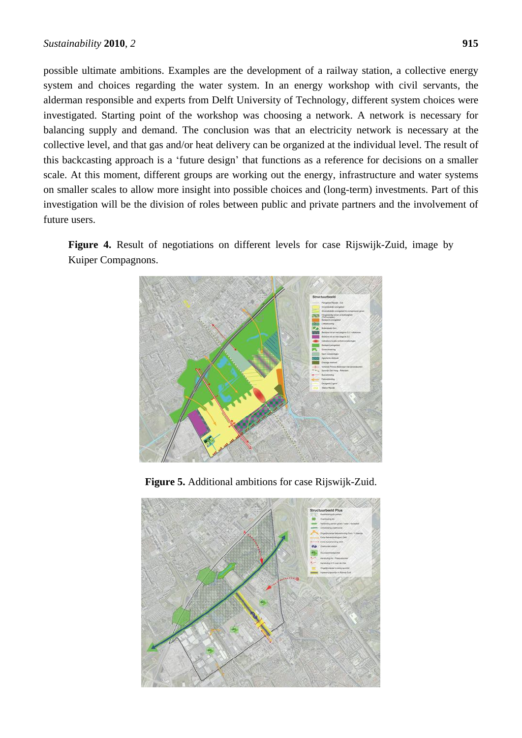possible ultimate ambitions. Examples are the development of a railway station, a collective energy system and choices regarding the water system. In an energy workshop with civil servants, the alderman responsible and experts from Delft University of Technology, different system choices were investigated. Starting point of the workshop was choosing a network. A network is necessary for balancing supply and demand. The conclusion was that an electricity network is necessary at the collective level, and that gas and/or heat delivery can be organized at the individual level. The result of this backcasting approach is a 'future design' that functions as a reference for decisions on a smaller scale. At this moment, different groups are working out the energy, infrastructure and water systems on smaller scales to allow more insight into possible choices and (long-term) investments. Part of this investigation will be the division of roles between public and private partners and the involvement of future users.

**Figure 4.** Result of negotiations on different levels for case Rijswijk-Zuid, image by Kuiper Compagnons.



**Figure 5.** Additional ambitions for case Rijswijk-Zuid.

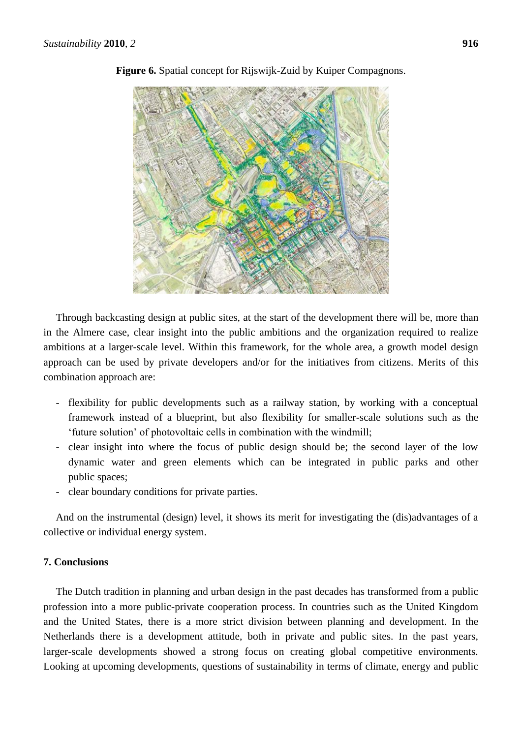

**Figure 6.** Spatial concept for Rijswijk-Zuid by Kuiper Compagnons.

Through backcasting design at public sites, at the start of the development there will be, more than in the Almere case, clear insight into the public ambitions and the organization required to realize ambitions at a larger-scale level. Within this framework, for the whole area, a growth model design approach can be used by private developers and/or for the initiatives from citizens. Merits of this combination approach are:

- flexibility for public developments such as a railway station, by working with a conceptual framework instead of a blueprint, but also flexibility for smaller-scale solutions such as the 'future solution' of photovoltaic cells in combination with the windmill;
- clear insight into where the focus of public design should be; the second layer of the low dynamic water and green elements which can be integrated in public parks and other public spaces;
- clear boundary conditions for private parties.

And on the instrumental (design) level, it shows its merit for investigating the (dis)advantages of a collective or individual energy system.

## **7. Conclusions**

The Dutch tradition in planning and urban design in the past decades has transformed from a public profession into a more public-private cooperation process. In countries such as the United Kingdom and the United States, there is a more strict division between planning and development. In the Netherlands there is a development attitude, both in private and public sites. In the past years, larger-scale developments showed a strong focus on creating global competitive environments. Looking at upcoming developments, questions of sustainability in terms of climate, energy and public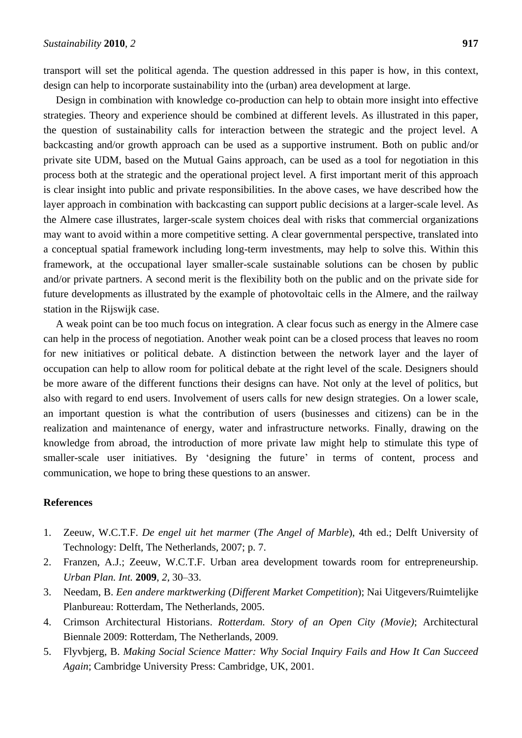transport will set the political agenda. The question addressed in this paper is how, in this context, design can help to incorporate sustainability into the (urban) area development at large.

Design in combination with knowledge co-production can help to obtain more insight into effective strategies. Theory and experience should be combined at different levels. As illustrated in this paper, the question of sustainability calls for interaction between the strategic and the project level. A backcasting and/or growth approach can be used as a supportive instrument. Both on public and/or private site UDM, based on the Mutual Gains approach, can be used as a tool for negotiation in this process both at the strategic and the operational project level. A first important merit of this approach is clear insight into public and private responsibilities. In the above cases, we have described how the layer approach in combination with backcasting can support public decisions at a larger-scale level. As the Almere case illustrates, larger-scale system choices deal with risks that commercial organizations may want to avoid within a more competitive setting. A clear governmental perspective, translated into a conceptual spatial framework including long-term investments, may help to solve this. Within this framework, at the occupational layer smaller-scale sustainable solutions can be chosen by public and/or private partners. A second merit is the flexibility both on the public and on the private side for future developments as illustrated by the example of photovoltaic cells in the Almere, and the railway station in the Rijswijk case.

A weak point can be too much focus on integration. A clear focus such as energy in the Almere case can help in the process of negotiation. Another weak point can be a closed process that leaves no room for new initiatives or political debate. A distinction between the network layer and the layer of occupation can help to allow room for political debate at the right level of the scale. Designers should be more aware of the different functions their designs can have. Not only at the level of politics, but also with regard to end users. Involvement of users calls for new design strategies. On a lower scale, an important question is what the contribution of users (businesses and citizens) can be in the realization and maintenance of energy, water and infrastructure networks. Finally, drawing on the knowledge from abroad, the introduction of more private law might help to stimulate this type of smaller-scale user initiatives. By 'designing the future' in terms of content, process and communication, we hope to bring these questions to an answer.

### **References**

- 1. Zeeuw, W.C.T.F. *De engel uit het marmer* (*The Angel of Marble*), 4th ed.; Delft University of Technology: Delft, The Netherlands, 2007; p. 7.
- 2. Franzen, A.J.; Zeeuw, W.C.T.F. Urban area development towards room for entrepreneurship. *Urban Plan. Int.* **2009**, *2*, 30–33.
- 3. Needam, B. *Een andere marktwerking* (*Different Market Competition*); Nai Uitgevers/Ruimtelijke Planbureau: Rotterdam, The Netherlands, 2005.
- 4. Crimson Architectural Historians. *Rotterdam. Story of an Open City (Movie)*; Architectural Biennale 2009: Rotterdam, The Netherlands, 2009.
- 5. Flyvbjerg, B. *Making Social Science Matter: Why Social Inquiry Fails and How It Can Succeed Again*; Cambridge University Press: Cambridge, UK, 2001.